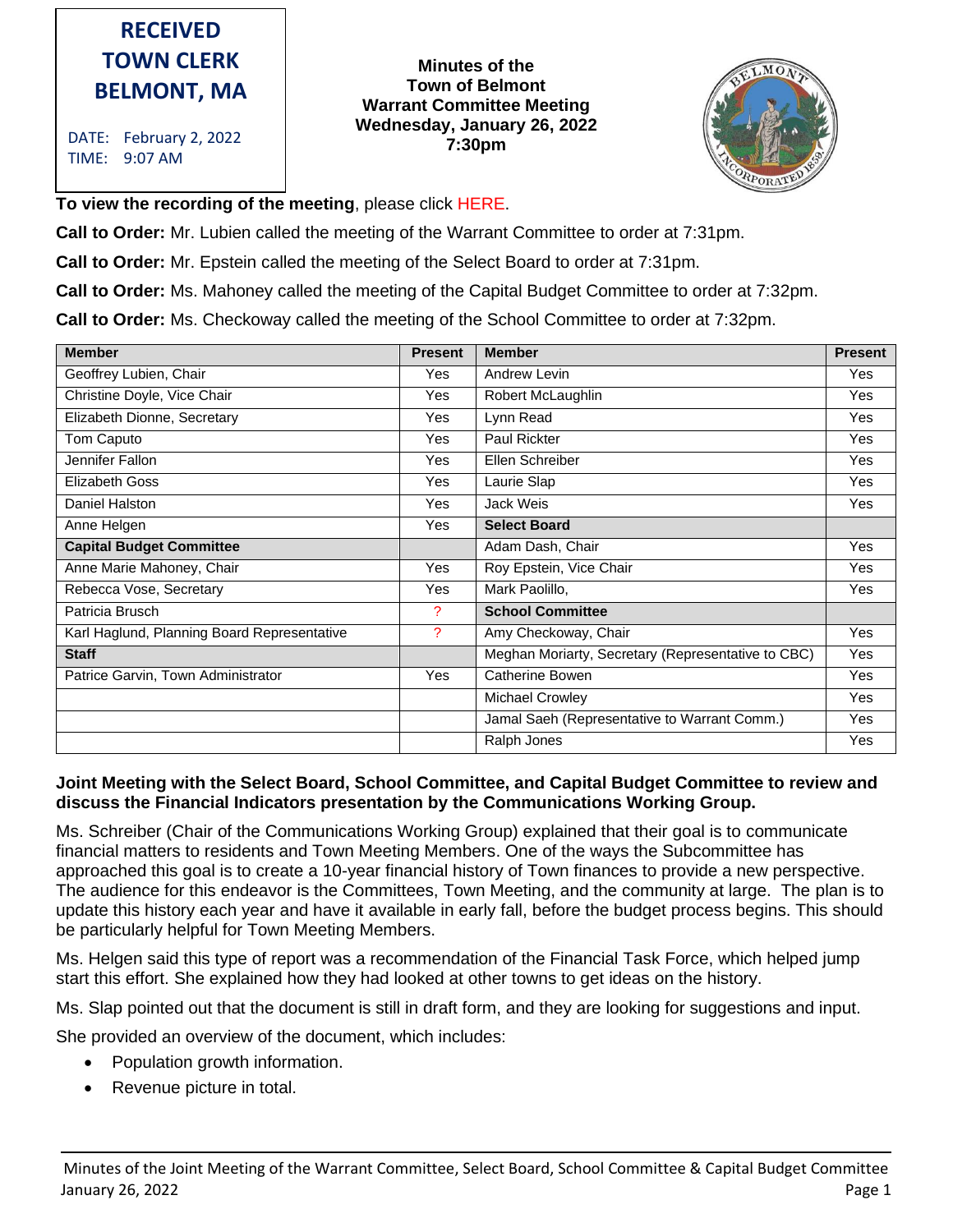# **RECEIVED TOWN CLERK BELMONT, MA**

DATE: February 2, 2022 TIME: 9:07 AM

#### **Minutes of the Town of Belmont Warrant Committee Meeting Wednesday, January 26, 2022 7:30pm**



**To view the recording of the meeting**, please click HERE.

**Call to Order:** Mr. Lubien called the meeting of the Warrant Committee to order at 7:31pm.

**Call to Order:** Mr. Epstein called the meeting of the Select Board to order at 7:31pm.

**Call to Order:** Ms. Mahoney called the meeting of the Capital Budget Committee to order at 7:32pm.

**Call to Order:** Ms. Checkoway called the meeting of the School Committee to order at 7:32pm.

| <b>Member</b>                               | <b>Present</b> | <b>Member</b>                                      | <b>Present</b> |
|---------------------------------------------|----------------|----------------------------------------------------|----------------|
| Geoffrey Lubien, Chair                      | Yes            | Andrew Levin                                       | <b>Yes</b>     |
| Christine Doyle, Vice Chair                 | Yes            | Robert McLaughlin                                  | Yes            |
| Elizabeth Dionne, Secretary                 | Yes            | Lynn Read                                          | <b>Yes</b>     |
| Tom Caputo                                  | Yes            | <b>Paul Rickter</b>                                | Yes            |
| Jennifer Fallon                             | Yes            | Ellen Schreiber                                    | Yes            |
| <b>Elizabeth Goss</b>                       | Yes            | Laurie Slap                                        | Yes            |
| Daniel Halston                              | Yes            | Jack Weis                                          | Yes            |
| Anne Helgen                                 | Yes            | <b>Select Board</b>                                |                |
| <b>Capital Budget Committee</b>             |                | Adam Dash, Chair                                   | Yes            |
| Anne Marie Mahoney, Chair                   | Yes            | Roy Epstein, Vice Chair                            | Yes            |
| Rebecca Vose, Secretary                     | Yes            | Mark Paolillo,                                     | <b>Yes</b>     |
| Patricia Brusch                             | 2              | <b>School Committee</b>                            |                |
| Karl Haglund, Planning Board Representative | ?              | Amy Checkoway, Chair                               | Yes            |
| <b>Staff</b>                                |                | Meghan Moriarty, Secretary (Representative to CBC) | <b>Yes</b>     |
| Patrice Garvin, Town Administrator          | <b>Yes</b>     | Catherine Bowen                                    | <b>Yes</b>     |
|                                             |                | Michael Crowley                                    | Yes            |
|                                             |                | Jamal Saeh (Representative to Warrant Comm.)       | Yes            |
|                                             |                | Ralph Jones                                        | Yes            |

## **Joint Meeting with the Select Board, School Committee, and Capital Budget Committee to review and discuss the Financial Indicators presentation by the Communications Working Group.**

Ms. Schreiber (Chair of the Communications Working Group) explained that their goal is to communicate financial matters to residents and Town Meeting Members. One of the ways the Subcommittee has approached this goal is to create a 10-year financial history of Town finances to provide a new perspective. The audience for this endeavor is the Committees, Town Meeting, and the community at large. The plan is to update this history each year and have it available in early fall, before the budget process begins. This should be particularly helpful for Town Meeting Members.

Ms. Helgen said this type of report was a recommendation of the Financial Task Force, which helped jump start this effort. She explained how they had looked at other towns to get ideas on the history.

Ms. Slap pointed out that the document is still in draft form, and they are looking for suggestions and input.

She provided an overview of the document, which includes:

- Population growth information.
- Revenue picture in total.

Minutes of the Joint Meeting of the Warrant Committee, Select Board, School Committee & Capital Budget Committee January 26, 2022 Page 1 2022 Page 1 2022 Page 1 2023 Page 1 2023 Page 1 2023 Page 1 2023 Page 1 2023 Page 1 20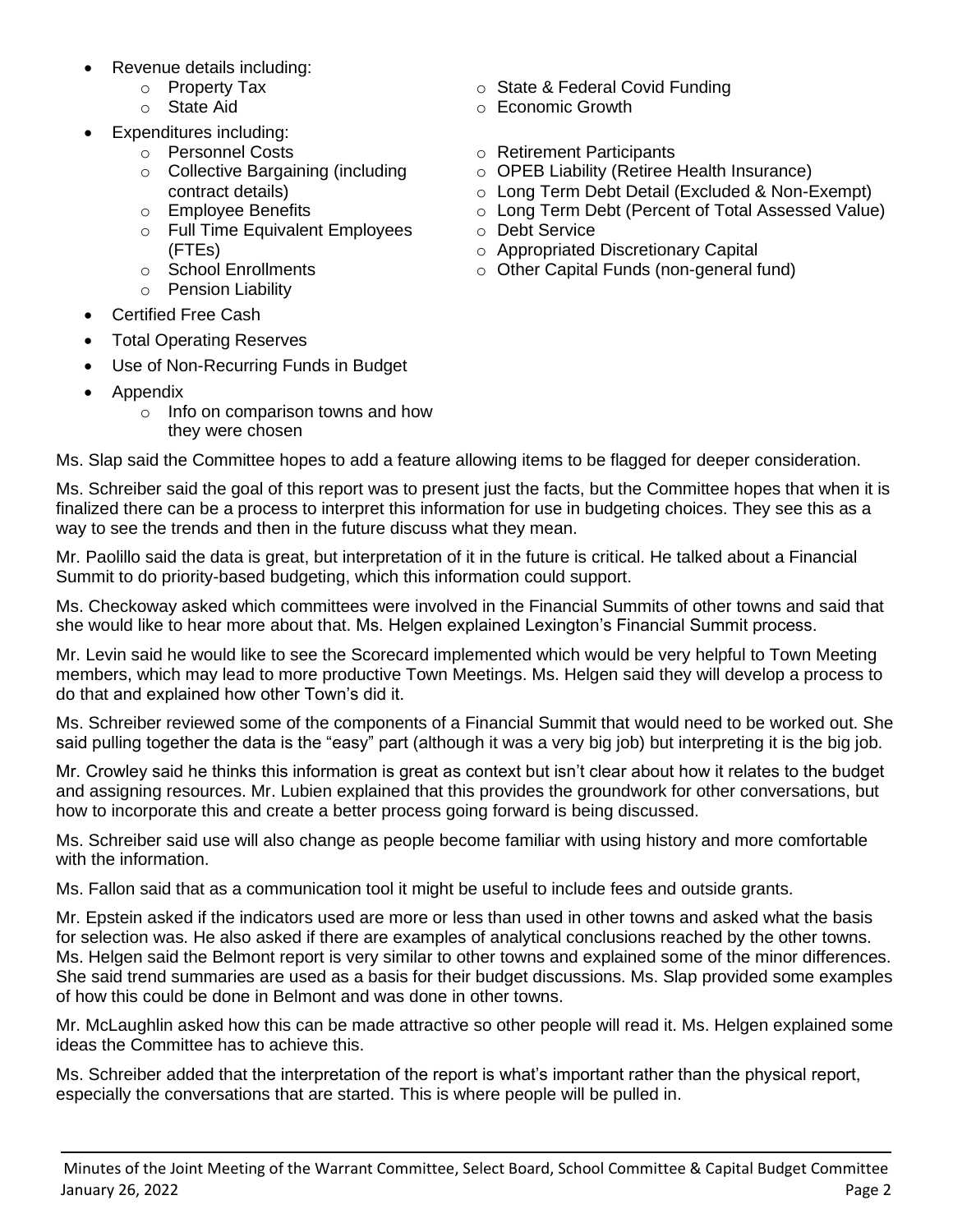- Revenue details including:
	- o Property Tax
	- o State Aid
- Expenditures including:
	- o Personnel Costs
	- o Collective Bargaining (including contract details)
	- o Employee Benefits
	- o Full Time Equivalent Employees (FTEs)
	- o School Enrollments
	- o Pension Liability
- Certified Free Cash
- Total Operating Reserves
- Use of Non-Recurring Funds in Budget
- Appendix
	- o Info on comparison towns and how they were chosen

Ms. Slap said the Committee hopes to add a feature allowing items to be flagged for deeper consideration.

Ms. Schreiber said the goal of this report was to present just the facts, but the Committee hopes that when it is finalized there can be a process to interpret this information for use in budgeting choices. They see this as a way to see the trends and then in the future discuss what they mean.

Mr. Paolillo said the data is great, but interpretation of it in the future is critical. He talked about a Financial Summit to do priority-based budgeting, which this information could support.

Ms. Checkoway asked which committees were involved in the Financial Summits of other towns and said that she would like to hear more about that. Ms. Helgen explained Lexington's Financial Summit process.

Mr. Levin said he would like to see the Scorecard implemented which would be very helpful to Town Meeting members, which may lead to more productive Town Meetings. Ms. Helgen said they will develop a process to do that and explained how other Town's did it.

Ms. Schreiber reviewed some of the components of a Financial Summit that would need to be worked out. She said pulling together the data is the "easy" part (although it was a very big job) but interpreting it is the big job.

Mr. Crowley said he thinks this information is great as context but isn't clear about how it relates to the budget and assigning resources. Mr. Lubien explained that this provides the groundwork for other conversations, but how to incorporate this and create a better process going forward is being discussed.

Ms. Schreiber said use will also change as people become familiar with using history and more comfortable with the information.

Ms. Fallon said that as a communication tool it might be useful to include fees and outside grants.

Mr. Epstein asked if the indicators used are more or less than used in other towns and asked what the basis for selection was. He also asked if there are examples of analytical conclusions reached by the other towns. Ms. Helgen said the Belmont report is very similar to other towns and explained some of the minor differences. She said trend summaries are used as a basis for their budget discussions. Ms. Slap provided some examples of how this could be done in Belmont and was done in other towns.

Mr. McLaughlin asked how this can be made attractive so other people will read it. Ms. Helgen explained some ideas the Committee has to achieve this.

Ms. Schreiber added that the interpretation of the report is what's important rather than the physical report, especially the conversations that are started. This is where people will be pulled in.

- o State & Federal Covid Funding
- $\circ$  Fconomic Growth
- o Retirement Participants
- o OPEB Liability (Retiree Health Insurance)
- o Long Term Debt Detail (Excluded & Non-Exempt)
- o Long Term Debt (Percent of Total Assessed Value)
- o Debt Service
- o Appropriated Discretionary Capital
- o Other Capital Funds (non-general fund)